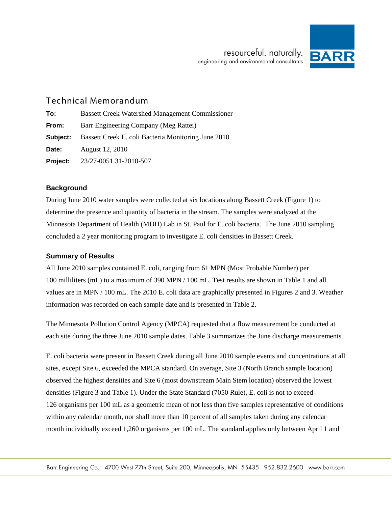

# Technical Memorandum

| To:      | <b>Bassett Creek Watershed Management Commissioner</b> |
|----------|--------------------------------------------------------|
| From:    | Barr Engineering Company (Meg Rattei)                  |
| Subject: | Bassett Creek E. coli Bacteria Monitoring June 2010    |
| Date:    | August 12, 2010                                        |
| Project: | 23/27-0051.31-2010-507                                 |

### **Background**

During June 2010 water samples were collected at six locations along Bassett Creek (Figure 1) to determine the presence and quantity of bacteria in the stream. The samples were analyzed at the Minnesota Department of Health (MDH) Lab in St. Paul for E. coli bacteria. The June 2010 sampling concluded a 2 year monitoring program to investigate E. coli densities in Bassett Creek.

## **Summary of Results**

All June 2010 samples contained E. coli, ranging from 61 MPN (Most Probable Number) per 100 milliliters (mL) to a maximum of 390 MPN / 100 mL. Test results are shown in Table 1 and all values are in MPN / 100 mL. The 2010 E. coli data are graphically presented in Figures 2 and 3. Weather information was recorded on each sample date and is presented in Table 2.

The Minnesota Pollution Control Agency (MPCA) requested that a flow measurement be conducted at each site during the three June 2010 sample dates. Table 3 summarizes the June discharge measurements.

E. coli bacteria were present in Bassett Creek during all June 2010 sample events and concentrations at all sites, except Site 6, exceeded the MPCA standard. On average, Site 3 (North Branch sample location) observed the highest densities and Site 6 (most downstream Main Stem location) observed the lowest densities (Figure 3 and Table 1). Under the State Standard (7050 Rule), E. coli is not to exceed 126 organisms per 100 mL as a geometric mean of not less than five samples representative of conditions within any calendar month, nor shall more than 10 percent of all samples taken during any calendar month individually exceed 1,260 organisms per 100 mL. The standard applies only between April 1 and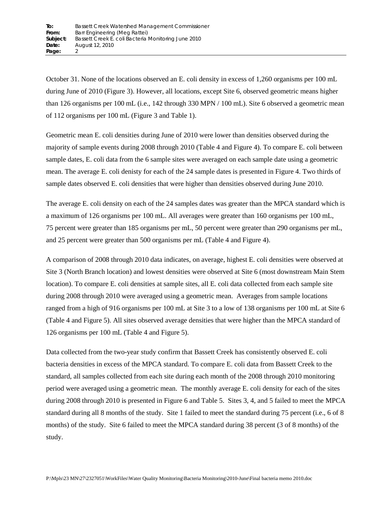October 31. None of the locations observed an E. coli density in excess of 1,260 organisms per 100 mL during June of 2010 (Figure 3). However, all locations, except Site 6, observed geometric means higher than 126 organisms per 100 mL (i.e., 142 through 330 MPN / 100 mL). Site 6 observed a geometric mean of 112 organisms per 100 mL (Figure 3 and Table 1).

Geometric mean E. coli densities during June of 2010 were lower than densities observed during the majority of sample events during 2008 through 2010 (Table 4 and Figure 4). To compare E. coli between sample dates, E. coli data from the 6 sample sites were averaged on each sample date using a geometric mean. The average E. coli denisty for each of the 24 sample dates is presented in Figure 4. Two thirds of sample dates observed E. coli densities that were higher than densities observed during June 2010.

The average E. coli density on each of the 24 samples dates was greater than the MPCA standard which is a maximum of 126 organisms per 100 mL. All averages were greater than 160 organisms per 100 mL, 75 percent were greater than 185 organisms per mL, 50 percent were greater than 290 organisms per mL, and 25 percent were greater than 500 organisms per mL (Table 4 and Figure 4).

A comparison of 2008 through 2010 data indicates, on average, highest E. coli densities were observed at Site 3 (North Branch location) and lowest densities were observed at Site 6 (most downstream Main Stem location). To compare E. coli densities at sample sites, all E. coli data collected from each sample site during 2008 through 2010 were averaged using a geometric mean. Averages from sample locations ranged from a high of 916 organisms per 100 mL at Site 3 to a low of 138 organisms per 100 mL at Site 6 (Table 4 and Figure 5). All sites observed average densities that were higher than the MPCA standard of 126 organisms per 100 mL (Table 4 and Figure 5).

Data collected from the two-year study confirm that Bassett Creek has consistently observed E. coli bacteria densities in excess of the MPCA standard. To compare E. coli data from Bassett Creek to the standard, all samples collected from each site during each month of the 2008 through 2010 monitoring period were averaged using a geometric mean. The monthly average E. coli density for each of the sites during 2008 through 2010 is presented in Figure 6 and Table 5. Sites 3, 4, and 5 failed to meet the MPCA standard during all 8 months of the study. Site 1 failed to meet the standard during 75 percent (i.e., 6 of 8 months) of the study. Site 6 failed to meet the MPCA standard during 38 percent (3 of 8 months) of the study.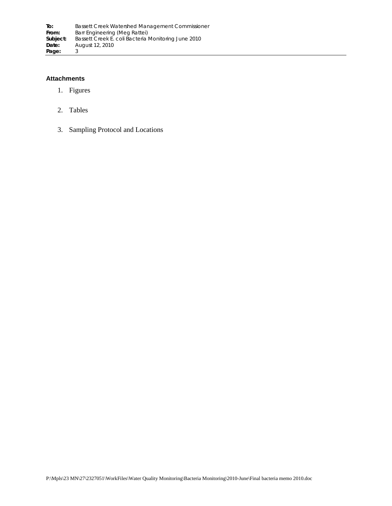#### **Attachments**

- 1. Figures
- 2. Tables
- 3. Sampling Protocol and Locations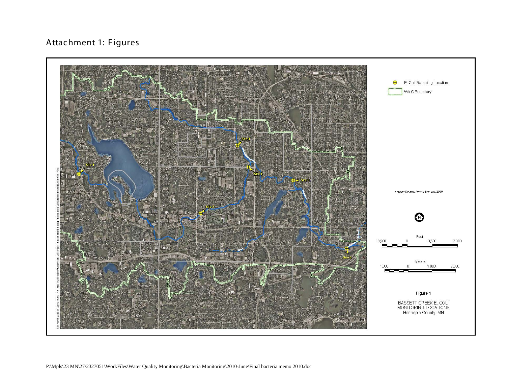# Attachment 1: Figures

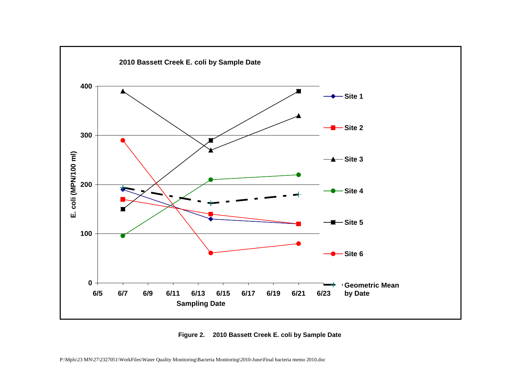

**Figure 2. 2010 Bassett Creek E. coli by Sample Date**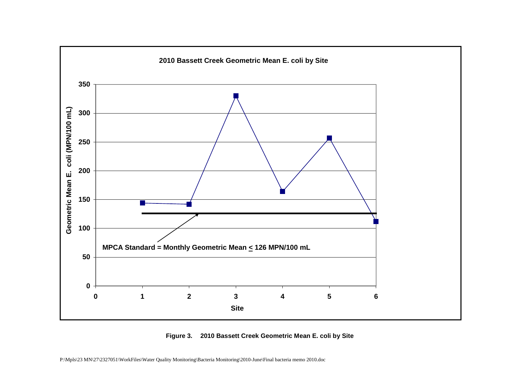

**Figure 3. 2010 Bassett Creek Geometric Mean E. coli by Site**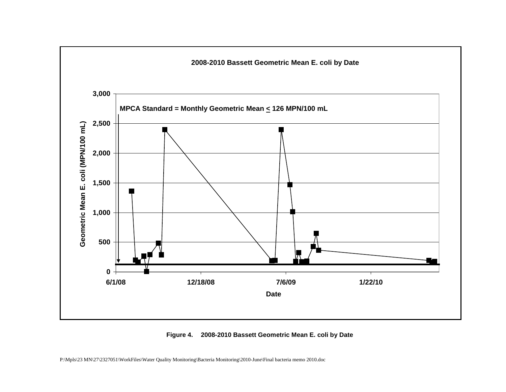

**Figure 4. 2008-2010 Bassett Geometric Mean E. coli by Date**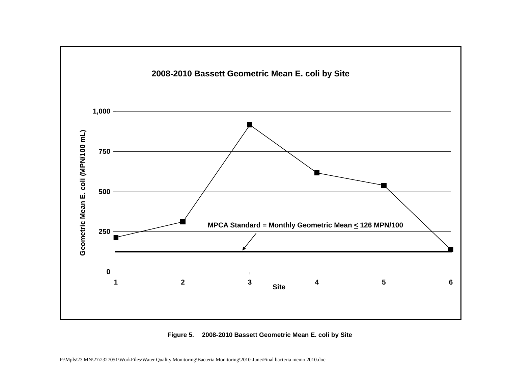

**Figure 5. 2008-2010 Bassett Geometric Mean E. coli by Site**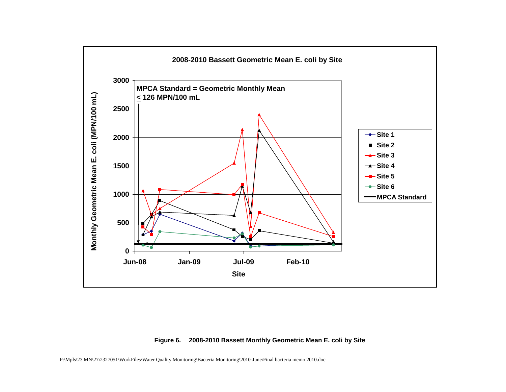

#### **Figure 6. 2008-2010 Bassett Monthly Geometric Mean E. coli by Site**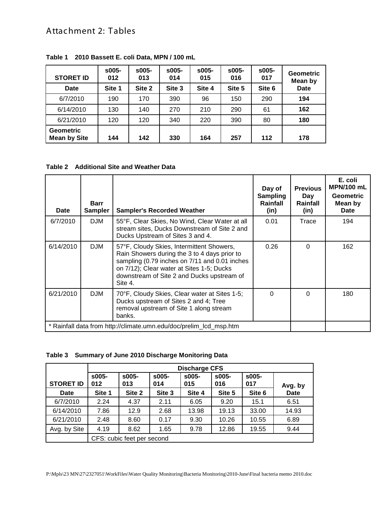# Attachment 2: Tables

| <b>STORET ID</b>                        | $$005-$<br>012 | $$005-$<br>013 | $$005-$<br>014 | $$005-$<br>015 | $$005-$<br>016 | $$005-$<br>017 | <b>Geometric</b><br>Mean by |
|-----------------------------------------|----------------|----------------|----------------|----------------|----------------|----------------|-----------------------------|
| Date                                    | Site 1         | Site 2         | Site 3         | Site 4         | Site 5         | Site 6         | <b>Date</b>                 |
| 6/7/2010                                | 190            | 170            | 390            | 96             | 150            | 290            | 194                         |
| 6/14/2010                               | 130            | 140            | 270            | 210            | 290            | 61             | 162                         |
| 6/21/2010                               | 120            | 120            | 340            | 220            | 390            | 80             | 180                         |
| <b>Geometric</b><br><b>Mean by Site</b> | 144            | 142            | 330            | 164            | 257            | 112            | 178                         |

**Table 1 2010 Bassett E. coli Data, MPN / 100 mL**

**Table 2 Additional Site and Weather Data**

| Date                                                               | <b>Barr</b><br><b>Sampler</b> | <b>Sampler's Recorded Weather</b>                                                                                                                                                                                                                | Day of<br><b>Sampling</b><br>Rainfall<br>(in) | <b>Previous</b><br>Day<br>Rainfall<br>(in) | E. coli<br><b>MPN/100 mL</b><br><b>Geometric</b><br>Mean by<br><b>Date</b> |
|--------------------------------------------------------------------|-------------------------------|--------------------------------------------------------------------------------------------------------------------------------------------------------------------------------------------------------------------------------------------------|-----------------------------------------------|--------------------------------------------|----------------------------------------------------------------------------|
| 6/7/2010                                                           | <b>DJM</b>                    | 55°F, Clear Skies, No Wind, Clear Water at all<br>stream sites, Ducks Downstream of Site 2 and<br>Ducks Upstream of Sites 3 and 4.                                                                                                               | 0.01                                          | Trace                                      | 194                                                                        |
| 6/14/2010                                                          | <b>DJM</b>                    | 57°F, Cloudy Skies, Intermittent Showers,<br>Rain Showers during the 3 to 4 days prior to<br>sampling (0.79 inches on 7/11 and 0.01 inches<br>on 7/12); Clear water at Sites 1-5; Ducks<br>downstream of Site 2 and Ducks upstream of<br>Site 4. | 0.26                                          | $\Omega$                                   | 162                                                                        |
| 6/21/2010                                                          | <b>DJM</b>                    | 70°F, Cloudy Skies, Clear water at Sites 1-5;<br>Ducks upstream of Sites 2 and 4; Tree<br>removal upstream of Site 1 along stream<br>banks.                                                                                                      | 0                                             | $\Omega$                                   | 180                                                                        |
| * Rainfall data from http://climate.umn.edu/doc/prelim_lcd_msp.htm |                               |                                                                                                                                                                                                                                                  |                                               |                                            |                                                                            |

|                  | <b>Discharge CFS</b>       |              |              |                |              |              |             |
|------------------|----------------------------|--------------|--------------|----------------|--------------|--------------|-------------|
| <b>STORET ID</b> | $$005-$<br>012             | s005-<br>013 | s005-<br>014 | $$005-$<br>015 | s005-<br>016 | s005-<br>017 | Avg. by     |
| Date             | Site 1                     | Site 2       | Site 3       | Site 4         | Site 5       | Site 6       | <b>Date</b> |
| 6/7/2010         | 2.24                       | 4.37         | 2.11         | 6.05           | 9.20         | 15.1         | 6.51        |
| 6/14/2010        | 7.86                       | 12.9         | 2.68         | 13.98          | 19.13        | 33.00        | 14.93       |
| 6/21/2010        | 2.48                       | 8.60         | 0.17         | 9.30           | 10.26        | 10.55        | 6.89        |
| Avg. by Site     | 4.19                       | 8.62         | 1.65         | 9.78           | 12.86        | 19.55        | 9.44        |
|                  | CFS: cubic feet per second |              |              |                |              |              |             |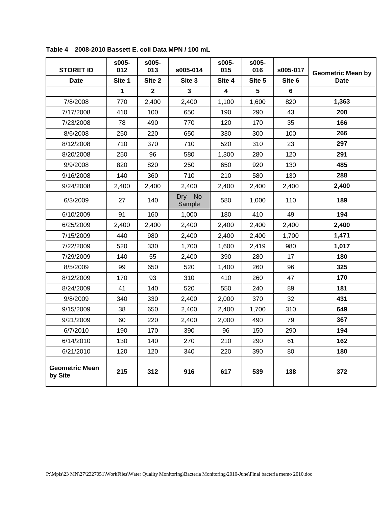| <b>STORET ID</b>                 | s005-<br>012 | s005-<br>013   | s005-014             | s005-<br>015 | s005-<br>016 | s005-017 | <b>Geometric Mean by</b> |  |
|----------------------------------|--------------|----------------|----------------------|--------------|--------------|----------|--------------------------|--|
| <b>Date</b>                      | Site 1       | Site 2         | Site 3               | Site 4       | Site 5       | Site 6   | <b>Date</b>              |  |
|                                  | 1            | $\overline{2}$ | 3                    | 4            | 5            | 6        |                          |  |
| 7/8/2008                         | 770          | 2,400          | 2,400                | 1,100        | 1,600        | 820      | 1,363                    |  |
| 7/17/2008                        | 410          | 100            | 650                  | 190          | 290          | 43       | 200                      |  |
| 7/23/2008                        | 78           | 490            | 770                  | 120          | 170          | 35       | 166                      |  |
| 8/6/2008                         | 250          | 220            | 650                  | 330          | 300          | 100      | 266                      |  |
| 8/12/2008                        | 710          | 370            | 710                  | 520          | 310          | 23       | 297                      |  |
| 8/20/2008                        | 250          | 96             | 580                  | 1,300        | 280          | 120      | 291                      |  |
| 9/9/2008                         | 820          | 820            | 250                  | 650          | 920          | 130      | 485                      |  |
| 9/16/2008                        | 140          | 360            | 710                  | 210          | 580          | 130      | 288                      |  |
| 9/24/2008                        | 2,400        | 2,400          | 2,400                | 2,400        | 2,400        | 2,400    | 2,400                    |  |
| 6/3/2009                         | 27           | 140            | $Dry - No$<br>Sample | 580          | 1,000        | 110      | 189                      |  |
| 6/10/2009                        | 91           | 160            | 1,000                | 180          | 410          | 49       | 194                      |  |
| 6/25/2009                        | 2,400        | 2,400          | 2,400                | 2,400        | 2,400        | 2,400    | 2,400                    |  |
| 7/15/2009                        | 440          | 980            | 2,400                | 2,400        | 2,400        | 1,700    | 1,471                    |  |
| 7/22/2009                        | 520          | 330            | 1,700                | 1,600        | 2,419        | 980      | 1,017                    |  |
| 7/29/2009                        | 140          | 55             | 2,400                | 390          | 280          | 17       | 180                      |  |
| 8/5/2009                         | 99           | 650            | 520                  | 1,400        | 260          | 96       | 325                      |  |
| 8/12/2009                        | 170          | 93             | 310                  | 410          | 260          | 47       | 170                      |  |
| 8/24/2009                        | 41           | 140            | 520                  | 550          | 240          | 89       | 181                      |  |
| 9/8/2009                         | 340          | 330            | 2,400                | 2,000        | 370          | 32       | 431                      |  |
| 9/15/2009                        | 38           | 650            | 2,400                | 2,400        | 1,700        | 310      | 649                      |  |
| 9/21/2009                        | 60           | 220            | 2,400                | 2,000        | 490          | 79       | 367                      |  |
| 6/7/2010                         | 190          | 170            | 390                  | 96           | 150          | 290      | 194                      |  |
| 6/14/2010                        | 130          | 140            | 270                  | 210          | 290          | 61       | 162                      |  |
| 6/21/2010                        | 120          | 120            | 340                  | 220          | 390          | 80       | 180                      |  |
| <b>Geometric Mean</b><br>by Site | 215          | 312            | 916                  | 617          | 539          | 138      | 372                      |  |

**Table 4 2008-2010 Bassett E. coli Data MPN / 100 mL**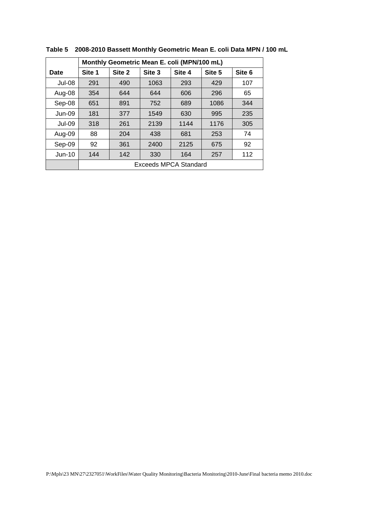|               |                              | Monthly Geometric Mean E. coli (MPN/100 mL) |        |        |        |        |  |
|---------------|------------------------------|---------------------------------------------|--------|--------|--------|--------|--|
| Date          | Site 1                       | Site 2                                      | Site 3 | Site 4 | Site 5 | Site 6 |  |
| Jul-08        | 291                          | 490                                         | 1063   | 293    | 429    | 107    |  |
| Aug-08        | 354                          | 644                                         | 644    | 606    | 296    | 65     |  |
| Sep-08        | 651                          | 891                                         | 752    | 689    | 1086   | 344    |  |
| $Jun-09$      | 181                          | 377                                         | 1549   | 630    | 995    | 235    |  |
| <b>Jul-09</b> | 318                          | 261                                         | 2139   | 1144   | 1176   | 305    |  |
| Aug-09        | 88                           | 204                                         | 438    | 681    | 253    | 74     |  |
| Sep-09        | 92                           | 361                                         | 2400   | 2125   | 675    | 92     |  |
| $Jun-10$      | 144                          | 142                                         | 330    | 164    | 257    | 112    |  |
|               | <b>Exceeds MPCA Standard</b> |                                             |        |        |        |        |  |

**Table 5 2008-2010 Bassett Monthly Geometric Mean E. coli Data MPN / 100 mL**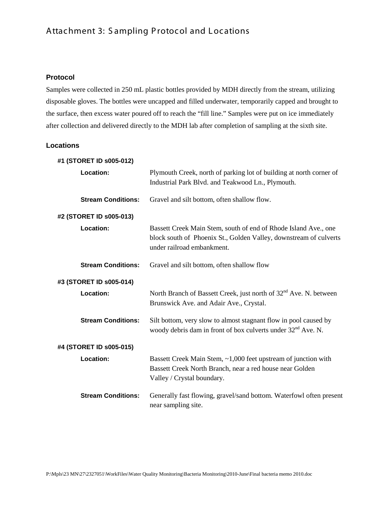# Attachment 3: Sampling Protocol and Locations

#### **Protocol**

Samples were collected in 250 mL plastic bottles provided by MDH directly from the stream, utilizing disposable gloves. The bottles were uncapped and filled underwater, temporarily capped and brought to the surface, then excess water poured off to reach the "fill line." Samples were put on ice immediately after collection and delivered directly to the MDH lab after completion of sampling at the sixth site.

### **Locations**

| #1 (STORET ID s005-012)   |                                                                                                                                                                    |
|---------------------------|--------------------------------------------------------------------------------------------------------------------------------------------------------------------|
| Location:                 | Plymouth Creek, north of parking lot of building at north corner of<br>Industrial Park Blvd. and Teakwood Ln., Plymouth.                                           |
|                           |                                                                                                                                                                    |
| <b>Stream Conditions:</b> | Gravel and silt bottom, often shallow flow.                                                                                                                        |
| #2 (STORET ID s005-013)   |                                                                                                                                                                    |
| Location:                 | Bassett Creek Main Stem, south of end of Rhode Island Ave., one<br>block south of Phoenix St., Golden Valley, downstream of culverts<br>under railroad embankment. |
| <b>Stream Conditions:</b> | Gravel and silt bottom, often shallow flow                                                                                                                         |
| #3 (STORET ID s005-014)   |                                                                                                                                                                    |
| Location:                 | North Branch of Bassett Creek, just north of 32 <sup>nd</sup> Ave. N. between<br>Brunswick Ave. and Adair Ave., Crystal.                                           |
| <b>Stream Conditions:</b> | Silt bottom, very slow to almost stagnant flow in pool caused by<br>woody debris dam in front of box culverts under 32 <sup>nd</sup> Ave. N.                       |
| #4 (STORET ID s005-015)   |                                                                                                                                                                    |
| Location:                 | Bassett Creek Main Stem, ~1,000 feet upstream of junction with<br>Bassett Creek North Branch, near a red house near Golden<br>Valley / Crystal boundary.           |
| <b>Stream Conditions:</b> | Generally fast flowing, gravel/sand bottom. Waterfowl often present<br>near sampling site.                                                                         |